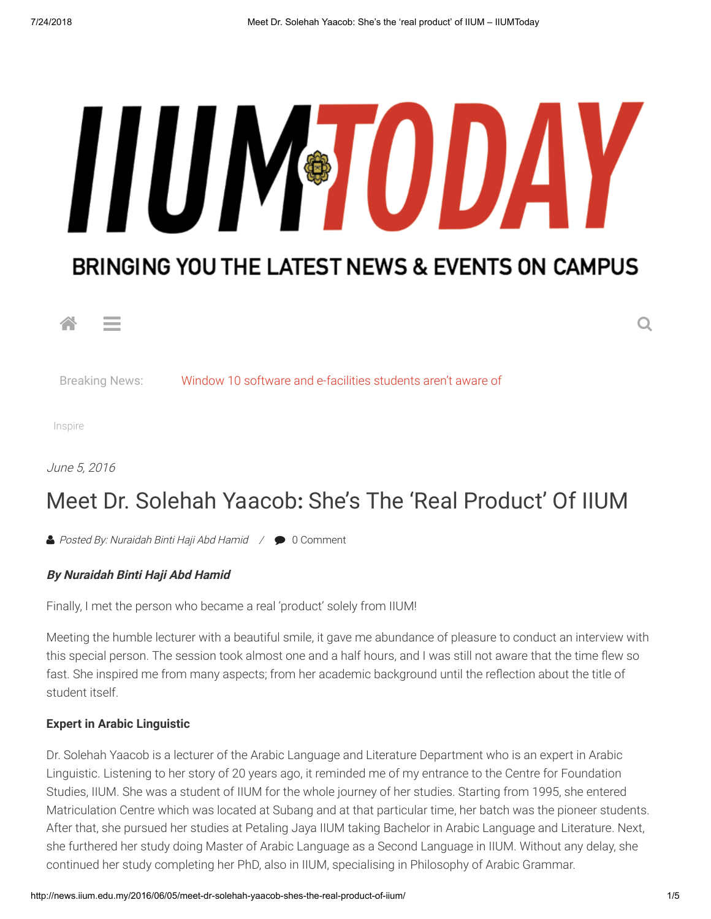# HUM<sup>®</sup>TODAY

# BRINGING YOU THE LATEST NEWS & EVENTS ON CAMPUS



Breaking News: [Window 10 software and e-facilities students aren't aware of](http://news.iium.edu.my/2018/07/24/window-10-software-and-e-facilities-students-arent-aware-of/)

[Inspire](http://news.iium.edu.my/category/lifestyle/lifestyle-inspire/)

[June 5, 2016](http://news.iium.edu.my/2016/06/05/meet-dr-solehah-yaacob-shes-the-real-product-of-iium/)

# Meet Dr. Solehah Yaacob**:** She's The 'Real Product' Of IIUM

▲ [Posted By: Nuraidah Binti Haji Abd Hamid](http://news.iium.edu.my/author/guest-submissions/) / ● [0 Comment](#page-3-0)

# **By Nuraidah Binti Haji Abd Hamid**

Finally, I met the person who became a real 'product' solely from IIUM!

Meeting the humble lecturer with a beautiful smile, it gave me abundance of pleasure to conduct an interview with this special person. The session took almost one and a half hours, and I was still not aware that the time flew so fast. She inspired me from many aspects; from her academic background until the reflection about the title of student itself.

# **Expert in Arabic Linguistic**

Dr. Solehah Yaacob is a lecturer of the Arabic Language and Literature Department who is an expert in Arabic Linguistic. Listening to her story of 20 years ago, it reminded me of my entrance to the Centre for Foundation Studies, IIUM. She was a student of IIUM for the whole journey of her studies. Starting from 1995, she entered Matriculation Centre which was located at Subang and at that particular time, her batch was the pioneer students. After that, she pursued her studies at Petaling Jaya IIUM taking Bachelor in Arabic Language and Literature. Next, she furthered her study doing Master of Arabic Language as a Second Language in IIUM. Without any delay, she continued her study completing her PhD, also in IIUM, specialising in Philosophy of Arabic Grammar.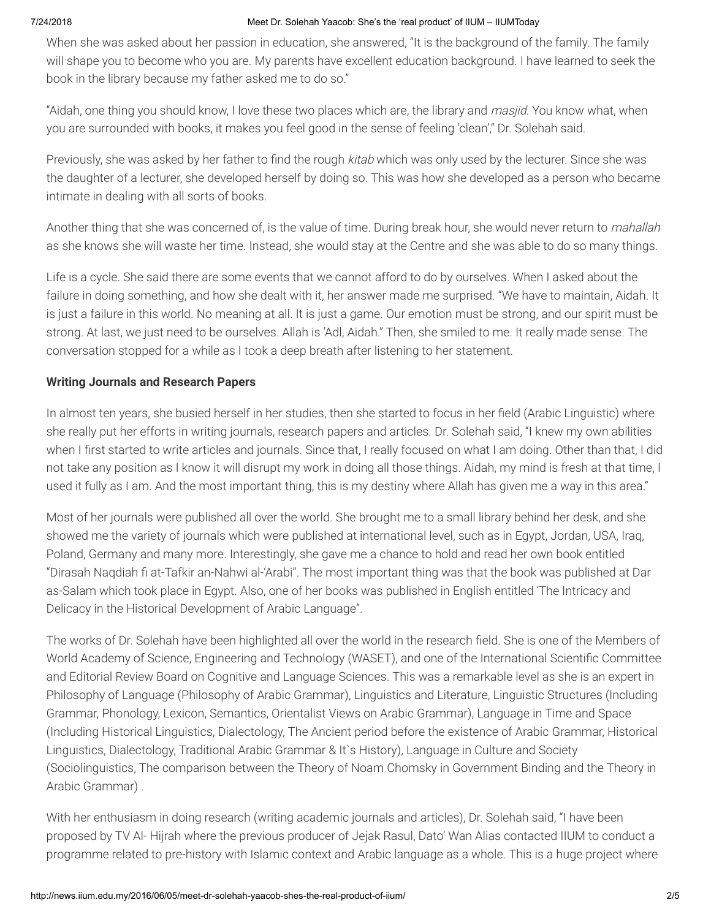# 7/24/2018 Meet Dr. Solehah Yaacob: She's the 'real product' of IIUM – IIUMToday

When she was asked about her passion in education, she answered, "It is the background of the family. The family will shape you to become who you are. My parents have excellent education background. I have learned to seek the book in the library because my father asked me to do so."

"Aidah, one thing you should know, I love these two places which are, the library and *masjid*. You know what, when you are surrounded with books, it makes you feel good in the sense of feeling 'clean'," Dr. Solehah said.

Previously, she was asked by her father to find the rough kitab which was only used by the lecturer. Since she was the daughter of a lecturer, she developed herself by doing so. This was how she developed as a person who became intimate in dealing with all sorts of books.

Another thing that she was concerned of, is the value of time. During break hour, she would never return to *mahallah* as she knows she will waste her time. Instead, she would stay at the Centre and she was able to do so many things.

Life is a cycle. She said there are some events that we cannot afford to do by ourselves. When I asked about the failure in doing something, and how she dealt with it, her answer made me surprised. "We have to maintain, Aidah. It is just a failure in this world. No meaning at all. It is just a game. Our emotion must be strong, and our spirit must be strong. At last, we just need to be ourselves. Allah is 'Adl, Aidah." Then, she smiled to me. It really made sense. The conversation stopped for a while as I took a deep breath after listening to her statement.

# **Writing Journals and Research Papers**

In almost ten years, she busied herself in her studies, then she started to focus in her field (Arabic Linguistic) where she really put her efforts in writing journals, research papers and articles. Dr. Solehah said, "I knew my own abilities when I first started to write articles and journals. Since that, I really focused on what I am doing. Other than that, I did not take any position as I know it will disrupt my work in doing all those things. Aidah, my mind is fresh at that time, I used it fully as I am. And the most important thing, this is my destiny where Allah has given me a way in this area."

Most of her journals were published all over the world. She brought me to a small library behind her desk, and she showed me the variety of journals which were published at international level, such as in Egypt, Jordan, USA, Iraq, Poland, Germany and many more. Interestingly, she gave me a chance to hold and read her own book entitled "Dirasah Naqdiah fi at-Tafkir an-Nahwi al-'Arabi". The most important thing was that the book was published at Dar as-Salam which took place in Egypt. Also, one of her books was published in English entitled 'The Intricacy and Delicacy in the Historical Development of Arabic Language".

The works of Dr. Solehah have been highlighted all over the world in the research field. She is one of the Members of World Academy of Science, Engineering and Technology (WASET), and one of the International Scientific Committee and Editorial Review Board on Cognitive and Language Sciences. This was a remarkable level as she is an expert in Philosophy of Language (Philosophy of Arabic Grammar), Linguistics and Literature, Linguistic Structures (Including Grammar, Phonology, Lexicon, Semantics, Orientalist Views on Arabic Grammar), Language in Time and Space (Including Historical Linguistics, Dialectology, The Ancient period before the existence of Arabic Grammar, Historical Linguistics, Dialectology, Traditional Arabic Grammar & It`s History), Language in Culture and Society (Sociolinguistics, The comparison between the Theory of Noam Chomsky in Government Binding and the Theory in Arabic Grammar) .

With her enthusiasm in doing research (writing academic journals and articles), Dr. Solehah said, "I have been proposed by TV Al- Hijrah where the previous producer of Jejak Rasul, Dato' Wan Alias contacted IIUM to conduct a programme related to pre-history with Islamic context and Arabic language as a whole. This is a huge project where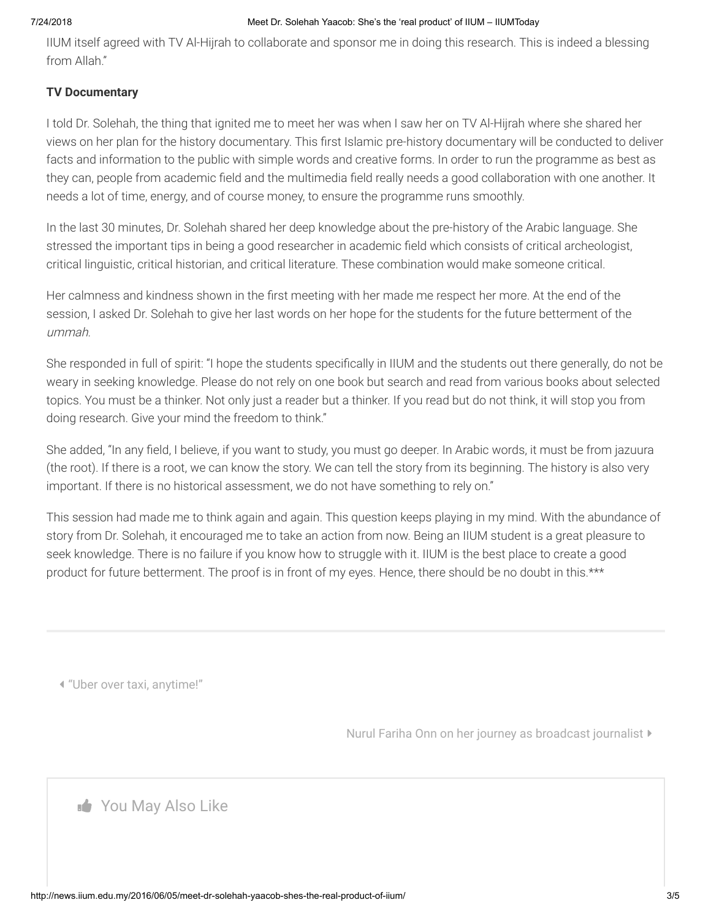## 7/24/2018 Meet Dr. Solehah Yaacob: She's the 'real product' of IIUM – IIUMToday

IIUM itself agreed with TV Al-Hijrah to collaborate and sponsor me in doing this research. This is indeed a blessing from Allah."

# **TV Documentary**

I told Dr. Solehah, the thing that ignited me to meet her was when I saw her on TV Al-Hijrah where she shared her views on her plan for the history documentary. This first Islamic pre-history documentary will be conducted to deliver facts and information to the public with simple words and creative forms. In order to run the programme as best as they can, people from academic field and the multimedia field really needs a good collaboration with one another. It needs a lot of time, energy, and of course money, to ensure the programme runs smoothly.

In the last 30 minutes, Dr. Solehah shared her deep knowledge about the pre-history of the Arabic language. She stressed the important tips in being a good researcher in academic field which consists of critical archeologist, critical linguistic, critical historian, and critical literature. These combination would make someone critical.

Her calmness and kindness shown in the first meeting with her made me respect her more. At the end of the session, I asked Dr. Solehah to give her last words on her hope for the students for the future betterment of the ummah.

She responded in full of spirit: "I hope the students specifically in IIUM and the students out there generally, do not be weary in seeking knowledge. Please do not rely on one book but search and read from various books about selected topics. You must be a thinker. Not only just a reader but a thinker. If you read but do not think, it will stop you from doing research. Give your mind the freedom to think."

She added, "In any field, I believe, if you want to study, you must go deeper. In Arabic words, it must be from jazuura (the root). If there is a root, we can know the story. We can tell the story from its beginning. The history is also very important. If there is no historical assessment, we do not have something to rely on."

This session had made me to think again and again. This question keeps playing in my mind. With the abundance of story from Dr. Solehah, it encouraged me to take an action from now. Being an IIUM student is a great pleasure to seek knowledge. There is no failure if you know how to struggle with it. IIUM is the best place to create a good product for future betterment. The proof is in front of my eyes. Hence, there should be no doubt in this.\*\*\*

["Uber over taxi, anytime!"](http://news.iium.edu.my/2016/06/04/uber-over-taxi-anytime/)

[Nurul Fariha Onn on her journey as broadcast journalist](http://news.iium.edu.my/2016/06/06/nurul-fariha-onn-on-her-journey-as-broadcast-journalist/)

**Nou May Also Like**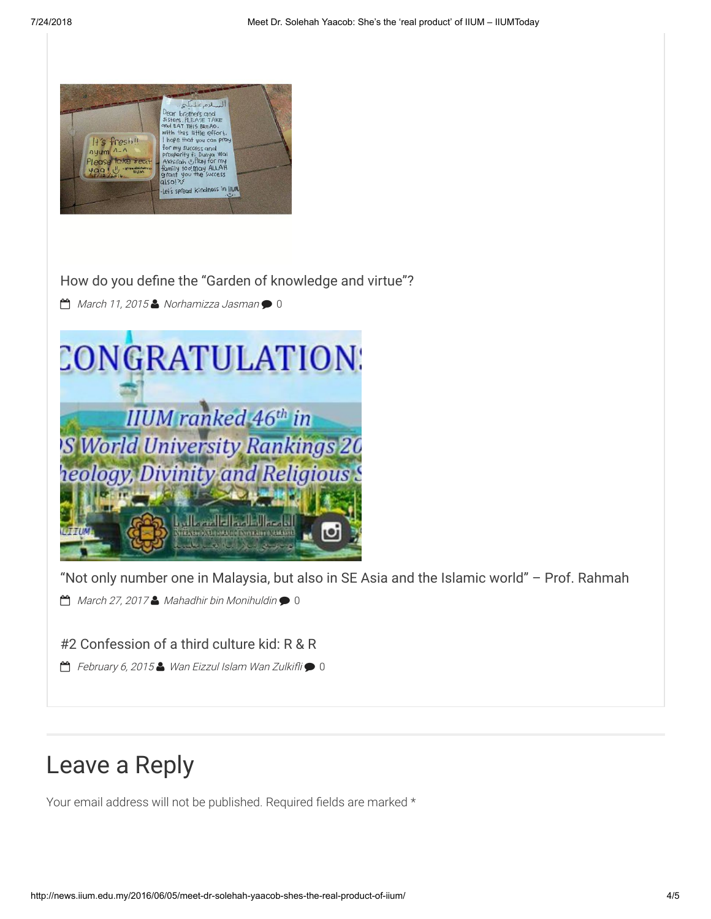

How do you define the "Garden of knowledge and virtue"?

[March 11, 2015](http://news.iium.edu.my/2015/03/11/how-do-you-define-the-garden-of-knowledge-and-virtue/) [Norhamizza Jasman](http://news.iium.edu.my/author/norhamizza/) (1)



["Not only number one in Malaysia, but also in SE Asia and the Islamic world" – Prof. Rahmah](http://news.iium.edu.my/2017/03/27/not-only-number-one-in-malaysia-but-also-in-se-asia-and-the-islamic-world-prof-rahmah/)

 $\Box$  [March 27, 2017](http://news.iium.edu.my/2017/03/27/not-only-number-one-in-malaysia-but-also-in-se-asia-and-the-islamic-world-prof-rahmah/)  $\Box$  [Mahadhir bin Monihuldin](http://news.iium.edu.my/author/madir/)  $\bigcirc$  [0](http://news.iium.edu.my/2017/03/27/not-only-number-one-in-malaysia-but-also-in-se-asia-and-the-islamic-world-prof-rahmah/#respond)

[#2 Confession of a third culture kid: R & R](http://news.iium.edu.my/2015/02/06/2-confession-of-a-third-culture-kid-r-r/)

 $\Box$  [February 6, 2015](http://news.iium.edu.my/2015/02/06/2-confession-of-a-third-culture-kid-r-r/)  $\Box$  Wan Eizzul Islam Wan Zulkifli $\bigcirc$  [0](http://news.iium.edu.my/2015/02/06/2-confession-of-a-third-culture-kid-r-r/#respond)

# <span id="page-3-0"></span>Leave a Reply

Your email address will not be published. Required fields are marked \*